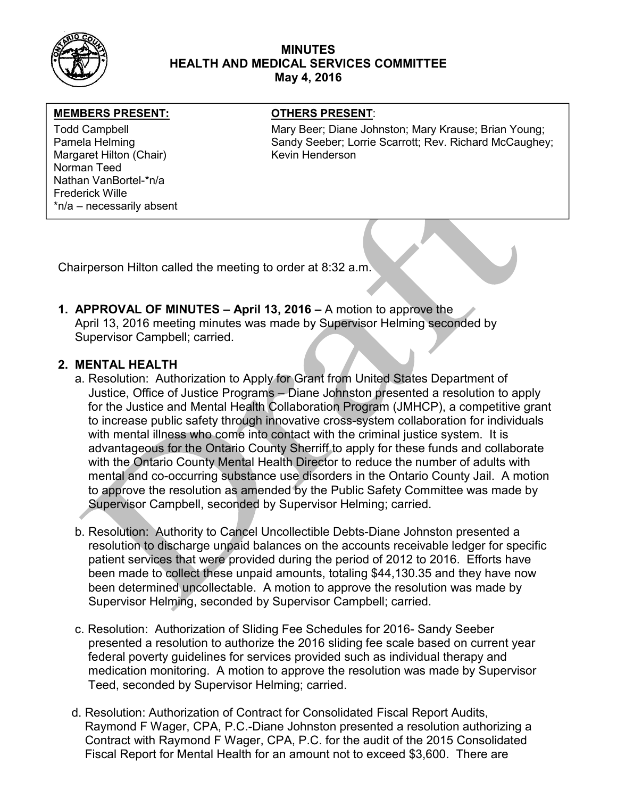

## MINUTES HEALTH AND MEDICAL SERVICES COMMITTEE May 4, 2016

### MEMBERS PRESENT: **The OTHERS PRESENT:**

Margaret Hilton (Chair) Kevin Henderson Norman Teed Nathan VanBortel-\*n/a Frederick Wille \*n/a – necessarily absent

Todd Campbell **Mary Beer; Diane Johnston; Mary Krause**; Brian Young; Mary Krause; Brian Young; Pamela Helming Sandy Seeber; Lorrie Scarrott; Rev. Richard McCaughey; Carrott; Rev. Richard McCaughey;

Chairperson Hilton called the meeting to order at 8:32 a.m.

1. APPROVAL OF MINUTES – April 13, 2016 – A motion to approve the April 13, 2016 meeting minutes was made by Supervisor Helming seconded by Supervisor Campbell; carried.

## 2. MENTAL HEALTH

- a. Resolution: Authorization to Apply for Grant from United States Department of Justice, Office of Justice Programs – Diane Johnston presented a resolution to apply for the Justice and Mental Health Collaboration Program (JMHCP), a competitive grant to increase public safety through innovative cross-system collaboration for individuals with mental illness who come into contact with the criminal justice system. It is advantageous for the Ontario County Sherriff to apply for these funds and collaborate with the Ontario County Mental Health Director to reduce the number of adults with mental and co-occurring substance use disorders in the Ontario County Jail. A motion to approve the resolution as amended by the Public Safety Committee was made by Supervisor Campbell, seconded by Supervisor Helming; carried.
- b. Resolution: Authority to Cancel Uncollectible Debts-Diane Johnston presented a resolution to discharge unpaid balances on the accounts receivable ledger for specific patient services that were provided during the period of 2012 to 2016. Efforts have been made to collect these unpaid amounts, totaling \$44,130.35 and they have now been determined uncollectable. A motion to approve the resolution was made by Supervisor Helming, seconded by Supervisor Campbell; carried.
- c. Resolution: Authorization of Sliding Fee Schedules for 2016- Sandy Seeber presented a resolution to authorize the 2016 sliding fee scale based on current year federal poverty guidelines for services provided such as individual therapy and medication monitoring. A motion to approve the resolution was made by Supervisor Teed, seconded by Supervisor Helming; carried.
- d. Resolution: Authorization of Contract for Consolidated Fiscal Report Audits, Raymond F Wager, CPA, P.C.-Diane Johnston presented a resolution authorizing a Contract with Raymond F Wager, CPA, P.C. for the audit of the 2015 Consolidated Fiscal Report for Mental Health for an amount not to exceed \$3,600. There are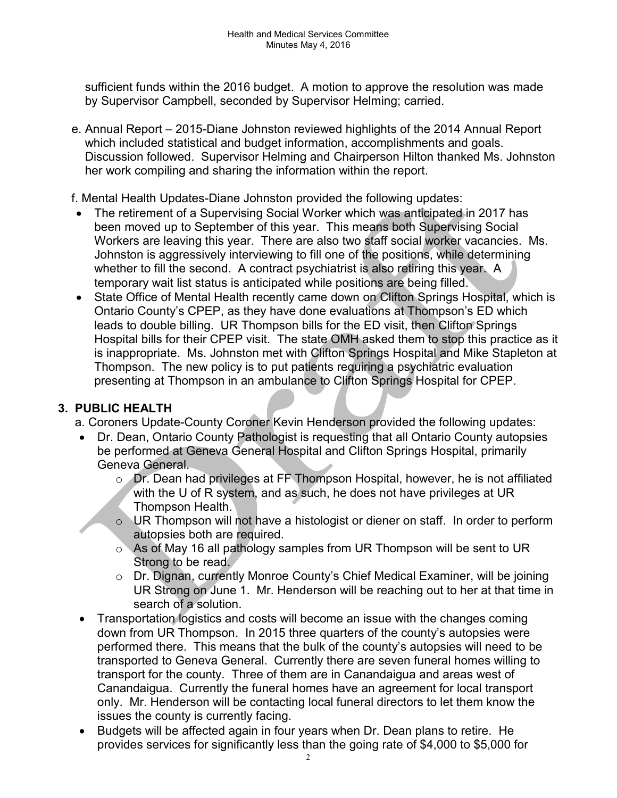sufficient funds within the 2016 budget. A motion to approve the resolution was made by Supervisor Campbell, seconded by Supervisor Helming; carried.

 e. Annual Report – 2015-Diane Johnston reviewed highlights of the 2014 Annual Report which included statistical and budget information, accomplishments and goals. Discussion followed. Supervisor Helming and Chairperson Hilton thanked Ms. Johnston her work compiling and sharing the information within the report.

f. Mental Health Updates-Diane Johnston provided the following updates:

- The retirement of a Supervising Social Worker which was anticipated in 2017 has been moved up to September of this year. This means both Supervising Social Workers are leaving this year. There are also two staff social worker vacancies. Ms. Johnston is aggressively interviewing to fill one of the positions, while determining whether to fill the second. A contract psychiatrist is also retiring this year. A temporary wait list status is anticipated while positions are being filled.
- State Office of Mental Health recently came down on Clifton Springs Hospital, which is Ontario County's CPEP, as they have done evaluations at Thompson's ED which leads to double billing. UR Thompson bills for the ED visit, then Clifton Springs Hospital bills for their CPEP visit. The state OMH asked them to stop this practice as it is inappropriate. Ms. Johnston met with Clifton Springs Hospital and Mike Stapleton at Thompson. The new policy is to put patients requiring a psychiatric evaluation presenting at Thompson in an ambulance to Clifton Springs Hospital for CPEP.

# 3. PUBLIC HEALTH

- a. Coroners Update-County Coroner Kevin Henderson provided the following updates:
- Dr. Dean, Ontario County Pathologist is requesting that all Ontario County autopsies be performed at Geneva General Hospital and Clifton Springs Hospital, primarily Geneva General.
	- o Dr. Dean had privileges at FF Thompson Hospital, however, he is not affiliated with the U of R system, and as such, he does not have privileges at UR Thompson Health.
	- o UR Thompson will not have a histologist or diener on staff. In order to perform autopsies both are required.
	- o As of May 16 all pathology samples from UR Thompson will be sent to UR Strong to be read.
	- o Dr. Dignan, currently Monroe County's Chief Medical Examiner, will be joining UR Strong on June 1. Mr. Henderson will be reaching out to her at that time in search of a solution.
- Transportation logistics and costs will become an issue with the changes coming down from UR Thompson. In 2015 three quarters of the county's autopsies were performed there. This means that the bulk of the county's autopsies will need to be transported to Geneva General. Currently there are seven funeral homes willing to transport for the county. Three of them are in Canandaigua and areas west of Canandaigua. Currently the funeral homes have an agreement for local transport only. Mr. Henderson will be contacting local funeral directors to let them know the issues the county is currently facing.
- Budgets will be affected again in four years when Dr. Dean plans to retire. He provides services for significantly less than the going rate of \$4,000 to \$5,000 for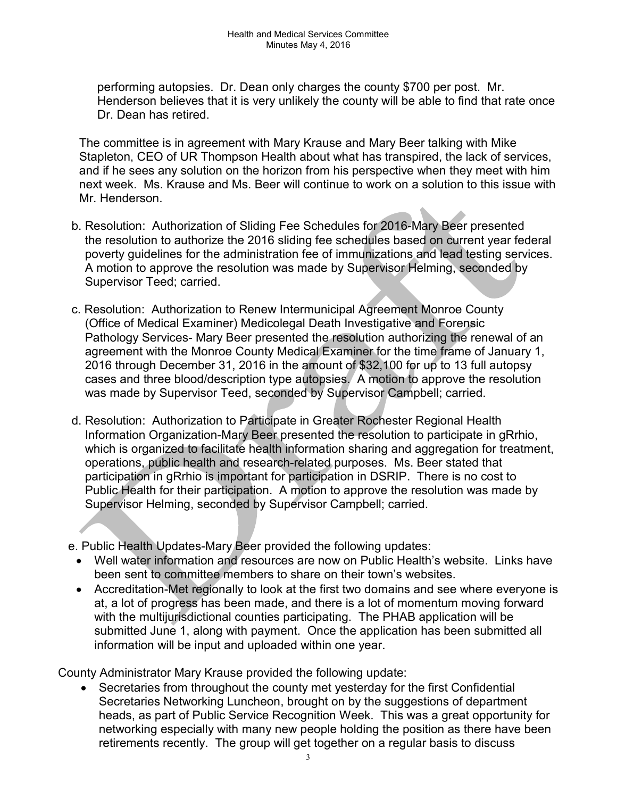performing autopsies. Dr. Dean only charges the county \$700 per post. Mr. Henderson believes that it is very unlikely the county will be able to find that rate once Dr. Dean has retired.

The committee is in agreement with Mary Krause and Mary Beer talking with Mike Stapleton, CEO of UR Thompson Health about what has transpired, the lack of services, and if he sees any solution on the horizon from his perspective when they meet with him next week. Ms. Krause and Ms. Beer will continue to work on a solution to this issue with Mr. Henderson.

- b. Resolution: Authorization of Sliding Fee Schedules for 2016-Mary Beer presented the resolution to authorize the 2016 sliding fee schedules based on current year federal poverty guidelines for the administration fee of immunizations and lead testing services. A motion to approve the resolution was made by Supervisor Helming, seconded by Supervisor Teed; carried.
- c. Resolution: Authorization to Renew Intermunicipal Agreement Monroe County (Office of Medical Examiner) Medicolegal Death Investigative and Forensic Pathology Services- Mary Beer presented the resolution authorizing the renewal of an agreement with the Monroe County Medical Examiner for the time frame of January 1, 2016 through December 31, 2016 in the amount of \$32,100 for up to 13 full autopsy cases and three blood/description type autopsies. A motion to approve the resolution was made by Supervisor Teed, seconded by Supervisor Campbell; carried.
- d. Resolution: Authorization to Participate in Greater Rochester Regional Health Information Organization-Mary Beer presented the resolution to participate in gRrhio, which is organized to facilitate health information sharing and aggregation for treatment, operations, public health and research-related purposes. Ms. Beer stated that participation in gRrhio is important for participation in DSRIP. There is no cost to Public Health for their participation. A motion to approve the resolution was made by Supervisor Helming, seconded by Supervisor Campbell; carried.

e. Public Health Updates-Mary Beer provided the following updates:

- Well water information and resources are now on Public Health's website. Links have been sent to committee members to share on their town's websites.
- Accreditation-Met regionally to look at the first two domains and see where everyone is at, a lot of progress has been made, and there is a lot of momentum moving forward with the multijurisdictional counties participating. The PHAB application will be submitted June 1, along with payment. Once the application has been submitted all information will be input and uploaded within one year.

County Administrator Mary Krause provided the following update:

 Secretaries from throughout the county met yesterday for the first Confidential Secretaries Networking Luncheon, brought on by the suggestions of department heads, as part of Public Service Recognition Week. This was a great opportunity for networking especially with many new people holding the position as there have been retirements recently. The group will get together on a regular basis to discuss